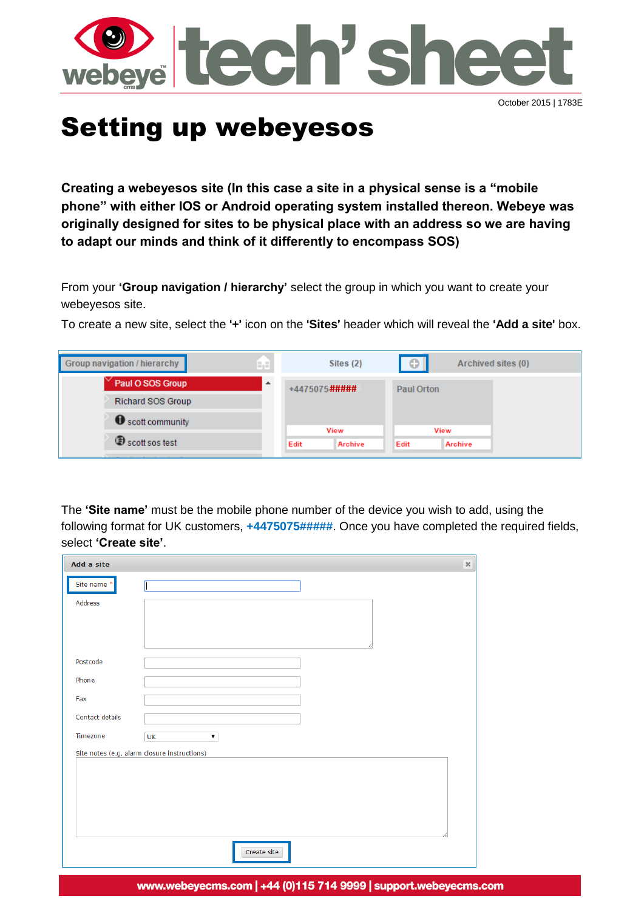

# Setting up webeyesos

**Creating a webeyesos site (In this case a site in a physical sense is a "mobile phone" with either IOS or Android operating system installed thereon. Webeye was originally designed for sites to be physical place with an address so we are having to adapt our minds and think of it differently to encompass SOS)**

From your **'Group navigation / hierarchy'** select the group in which you want to create your webeyesos site.

To create a new site, select the '**+**' icon on the '**Sites**' header which will reveal the '**Add a site**' box.

| Paul O SOS Group<br>$\Delta$<br>+4475075#####<br><b>Paul Orton</b><br><b>Richard SOS Group</b><br>Scott community<br>View<br><b>View</b> | Group navigation / hierarchy<br>۵,E | Sites (2) | $\circ$ | Archived sites (0) |
|------------------------------------------------------------------------------------------------------------------------------------------|-------------------------------------|-----------|---------|--------------------|
|                                                                                                                                          |                                     |           |         |                    |
|                                                                                                                                          |                                     |           |         |                    |
|                                                                                                                                          |                                     |           |         |                    |
| Scott sos test<br>Edit<br>Edit<br><b>Archive</b><br>Archive                                                                              |                                     |           |         |                    |

The **'Site name'** must be the mobile phone number of the device you wish to add, using the following format for UK customers, **+4475075#####**. Once you have completed the required fields, select **'Create site'**.

| Add a site                                   | $36\,$ |
|----------------------------------------------|--------|
| Site name*                                   |        |
| Address                                      |        |
| Postcode                                     |        |
| Phone                                        |        |
| Fax                                          |        |
| Contact details                              |        |
| Timezone<br>UK<br>۷.                         |        |
| Site notes (e.g. alarm closure instructions) |        |
|                                              |        |
| Create site                                  |        |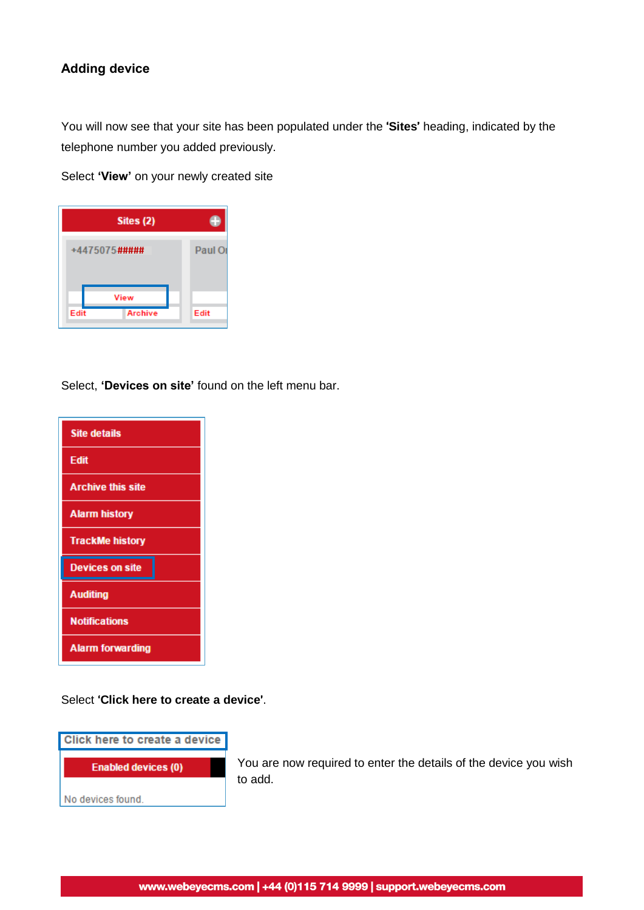## **Adding device**

You will now see that your site has been populated under the '**Sites**' heading, indicated by the telephone number you added previously.

Select **'View'** on your newly created site

|               | Sites $(2)$ |         |
|---------------|-------------|---------|
| +4475075##### |             | Paul Or |
|               |             |         |
|               | View        |         |

Select, **'Devices on site'** found on the left menu bar.



Select '**Click here to create a device**'.



You are now required to enter the details of the device you wish to add.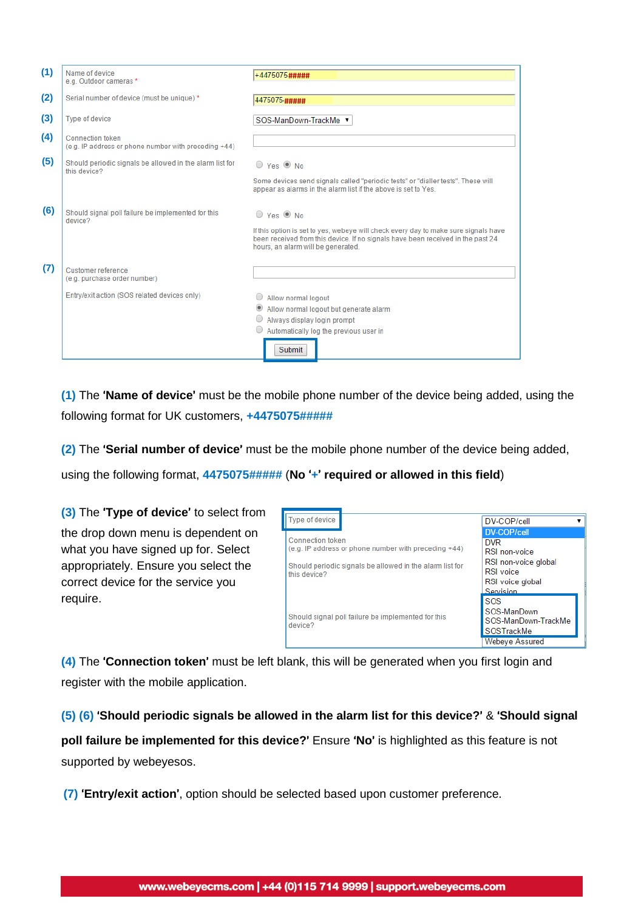| (1) | Name of device<br>e.g. Outdoor cameras *                                        | +4475075#####                                                                                                                                                                                                                      |
|-----|---------------------------------------------------------------------------------|------------------------------------------------------------------------------------------------------------------------------------------------------------------------------------------------------------------------------------|
| (2) | Serial number of device (must be unique)*                                       | 4475075 #####                                                                                                                                                                                                                      |
| (3) | <b>Type of device</b>                                                           | SOS-ManDown-TrackMe ▼                                                                                                                                                                                                              |
| (4) | <b>Connection token</b><br>(e.g. IP address or phone number with preceding +44) |                                                                                                                                                                                                                                    |
| (5) | Should periodic signals be allowed in the alarm list for<br>this device?        | $\bigcirc$ Yes $\circledcirc$ No<br>Some devices send signals called "periodic tests" or "dialler tests". These will<br>appear as alarms in the alarm list if the above is set to Yes.                                             |
| (6) | Should signal poll failure be implemented for this<br>device?                   | $O$ Yes $\odot$ No<br>If this option is set to yes, webeye will check every day to make sure signals have<br>been received from this device. If no signals have been received in the past 24<br>hours, an alarm will be generated. |
| (7) | Customer reference<br>(e.g. purchase order number)                              |                                                                                                                                                                                                                                    |
|     | Entry/exit action (SOS related devices only)                                    | Allow normal logout<br>Allow normal logout but generate alarm<br>$\circledcirc$<br>Always display login prompt<br>$\circ$ Automatically log the previous user in<br>Submit                                                         |

**(1)** The '**Name of device**' must be the mobile phone number of the device being added, using the following format for UK customers, **+4475075#####**

**(2)** The '**Serial number of device**' must be the mobile phone number of the device being added,

using the following format, **4475075#####** (**No** '**+**' **required or allowed in this field**)

**(3)** The '**Type of device**' to select from the drop down menu is dependent on what you have signed up for. Select appropriately. Ensure you select the correct device for the service you require.



**(4)** The '**Connection token**' must be left blank, this will be generated when you first login and register with the mobile application.

**(5) (6)** '**Should periodic signals be allowed in the alarm list for this device?**' & '**Should signal**

**poll failure be implemented for this device?**' Ensure '**No**' is highlighted as this feature is not supported by webeyesos.

**(7)** '**Entry/exit action**', option should be selected based upon customer preference.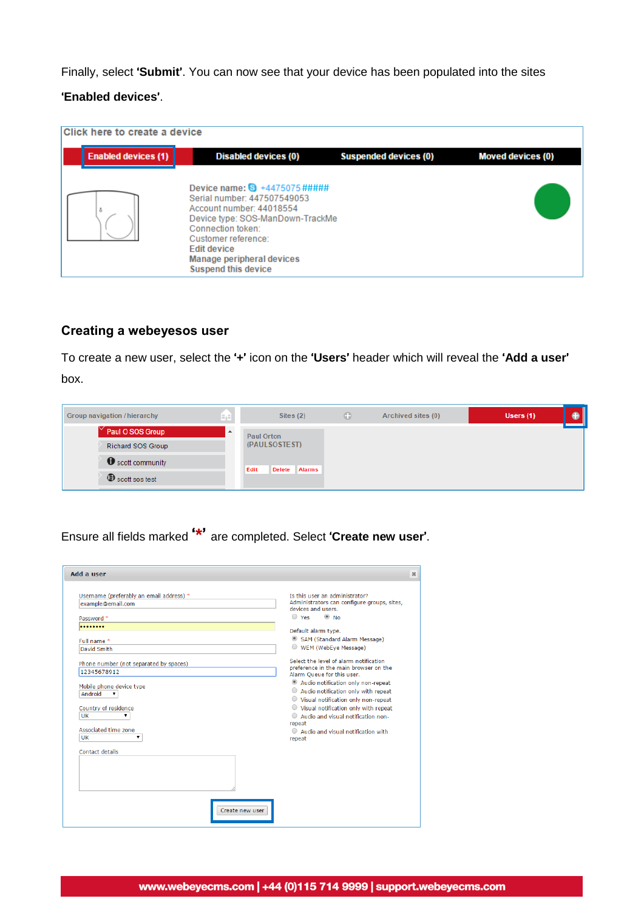Finally, select '**Submit**'. You can now see that your device has been populated into the sites

#### '**Enabled devices**'.

| Click here to create a device |                                                                                                                                                                                                                                                           |                              |                          |  |  |  |
|-------------------------------|-----------------------------------------------------------------------------------------------------------------------------------------------------------------------------------------------------------------------------------------------------------|------------------------------|--------------------------|--|--|--|
| <b>Enabled devices (1)</b>    | <b>Disabled devices (0)</b>                                                                                                                                                                                                                               | <b>Suspended devices (0)</b> | <b>Moved devices (0)</b> |  |  |  |
|                               | Device name: $\bullet$ +4475075#####<br>Serial number: 447507549053<br>Account number: 44018554<br>Device type: SOS-ManDown-TrackMe<br>Connection token:<br>Customer reference:<br>Edit device<br>Manage peripheral devices<br><b>Suspend this device</b> |                              |                          |  |  |  |

## **Creating a webeyesos user**

To create a new user, select the '**+**' icon on the '**Users**' header which will reveal the '**Add a user**' box.

| Group navigation / hierarchy | A               | Sites $(2)$                            | o | Archived sites (0) | Users (1) |  |
|------------------------------|-----------------|----------------------------------------|---|--------------------|-----------|--|
| Paul O SOS Group             | $\Delta \omega$ | <b>Paul Orton</b>                      |   |                    |           |  |
| <b>Richard SOS Group</b>     |                 | (PAULSOSTEST)                          |   |                    |           |  |
| Scott community              |                 | Edit<br><b>Alarms</b><br><b>Delete</b> |   |                    |           |  |
| Scott sos test               |                 |                                        |   |                    |           |  |

Ensure all fields marked '**\***' are completed. Select '**Create new user**'.

| Add a user                                                                             |                                                                                                                                                                                                              |
|----------------------------------------------------------------------------------------|--------------------------------------------------------------------------------------------------------------------------------------------------------------------------------------------------------------|
| Username (preferably an email address) *<br>example@email.com<br>Password *            | Is this user an administrator?<br>Administrators can configure groups, sites,<br>devices and users.<br>$\bigcirc$ Yes<br>$\circledcirc$ No                                                                   |
|                                                                                        | Default alarm type.                                                                                                                                                                                          |
| Full name*<br>David Smith                                                              | SAM (Standard Alarm Message)<br>WEM (WebEye Message)                                                                                                                                                         |
| Phone number (not separated by spaces)<br>12345678912                                  | Select the level of alarm notification<br>preference in the main browser on the<br>Alarm Queue for this user.                                                                                                |
| Mobile phone device type<br>Android<br>$\mathbf{v}$<br>Country of residence<br>UK<br>▼ | Audio notification only non-repeat<br>Audio notification only with repeat<br>○ Visual notification only non-repeat<br>○ Visual notification only with repeat<br>Audio and visual notification non-<br>repeat |
| Associated time zone<br>UK<br>▼                                                        | Audio and visual notification with<br>repeat                                                                                                                                                                 |
| Contact details                                                                        |                                                                                                                                                                                                              |
| Create new user                                                                        |                                                                                                                                                                                                              |